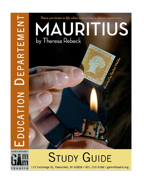



# **STUDY GUIDE**

172 Exchange St, Pawtucket, RI 02806 | 401.723.4266 | gammtheatre.org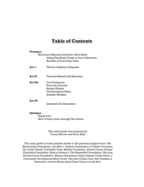## **Table of Contents**

#### **Prologue:**

Note from Education Director, Steve Kidd Using This Study Guide in Your Classroom Benefits of Core Prep visits

- **Act 1:** Theatre Audience Etiquette
- **Act II:** Theresa Rebeck and Mauritius
- **Act III:** Our Production From the Director Rachel Walshe Dramaturgical Notes Jennifer Madden

#### **Act IV:**

Questions for Discussion

#### **Epilogue:**

Thank you! How to learn more through The Gamm

> *This study guide was prepared by Tracey Morreo and Steve Kidd*

*This study guide is made possible thanks to the generous support from: The Rhode Island Foundation, the Alice I. Sullivan Foundation of Collette Vacations, the Carter Family Charitable Trust, MetLife Foundation, Bristol County Savings Charitable Foundation, Bank of America, The Hassenfeld Foundation, The June Rockwell Levy Foundation, Alliance Blackstone Valley Federal Credit Union, a Community Development Block Grant, The John Clarke Fund, Arts Funding in Pawtucket, and the Rhode Island State Council on the Arts.*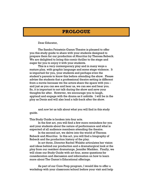## **PROLOGUE**

Dear Educator,

The Sandra Feinstein-Gamm Theatre is pleased to offer you this study guide to share with your students designed to prepare them for our production of *Mauritius* by Theresa Rebeck. We are delighted to bring this comic thriller to the stage and eager for you to enjoy it with your students.

This is a very contemporary play and in many ways a mature play, with graphic language and some stage violence. It is important for you, your students and perhaps even the student's parents to know this before attending the show. Please advise the students that a professional theatre setting is different from a movie because we the actors share the space with you – and just as you can see and hear us, we can see and hear you. So, it is important to not talk during the show and save your thoughts for after. However, we encourage you to laugh, applaud and engage with the drama as it unfolds. I will be in the play as Denis and will also lead a talk-back after the show.

and *now* let us talk about what you will find in this study guide.

This Study Guide is broken into four acts.

In the first act, you will find a few more reminders for you and your students about the nature of performance and what is expected of all audience members attending the theatre.

In the second act, we delve into the world of Theresa Rebeck and *Mauritius*. In this act, you will find a biography of Rebeck and the production history of the play.

In act three, Director Rachel Walshe articulates her vision and ideas behind our production and a dramaturgical look at the play from our resident dramaturge, Jennifer Madden. Finally, we will close our Study Guide with act four, some questions for consideration and discussion and information on how to learn more about The Gamm's Educational offerings.

As part of our Core Prep program, I would like to offer a workshop with your classroom/school before your visit and help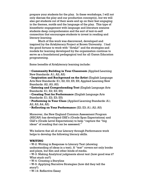prepare your students for the play. In these workshops, I will not only discuss the play and our production concept(s), but we will also get students out of their seats and up on their feet engaging in the themes, motifs and the language of the play. This type of kinesthetic engagement with language and literature ensures students deep comprehension and the sort of text-to-self connection that encourages students to invest in reading and literacy-learning.

Much of this work was discovered, developed and inspired by the ArtsLiteracy Project at Brown University. I had the good fortune to work with "ArtsLit" and the strategies and models for learning developed by the organization continue to serve as a foundational pedagogical tool for all Gamm Education programming.

Some benefits of ArtsLiteracy learning include:

• **Community Building in Your Classroom** (Applied Learning New Standards: A1; A2; A5)

• **Inspiration and Background on the Artist** (English Language Arts New Standards: E1; E2; E3; E5; E6; Applied Learning New Standards: A2; A3; A5)

• **Entering and Comprehending Text** (English Language Arts Standards: E1; E2; E3; E5)

• **Creating Text for Performance** (English Language Arts Standards: E1; E2; E3; E5)

• **Performing in Your Class** (Applied Learning Standards: A1; A2; A3; A4; A5)

• **Reflecting on Your Performance** (E2; E3; A1; A2; A5)

Moreover, the New England Common Assessment Program (NECAP) has developed GSE's (Grade Span Expectations) and GLE's (Grade Level Expectations) to help "capture the "big ideas" of reading that can be assessed."

We believe that all of our Literacy through Performance work helps to develop the following literacy skills.

#### **WRITING**

• W-2: Writing in Response to Literary Text (showing understanding of ideas in a text). A "text" covers not only books and plays, but film and other kinds of media.

• W-3: Making Analytical judgments about text (how good was it? What stuck out?)

• W-4: Creating a Storyline

- W-5: Applying Narrative Strategies (how did they tell the story?)
- W-14: Reflective Essay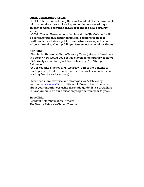#### **ORAL COMMUNICATION**

• OC-1: Interactive Listening (how well students listen; how much information they pick up hearing something once – asking a student to write a comprehensive account of a play certainly works)

• OC-2: Making Presentations (each senior in Rhode Island will be asked to put on a senior exhibition, capstone project or portfolio that includes a public demonstration on a particular subject. Learning about public performance is an obvious tie-in).

#### **READING**

• R-4: Initial Understanding of Literary Texts (where is the climax in a story? How would you set this play in contemporary society?) • R-5: Analysis and Interpretation of Literary Text/Citing Evidence

• R-11: Reading Fluency and Accuracy (part of the benefits of reading a script out over and over in rehearsal is an increase in reading fluency and accuracy)

Please see more exercise and strategies for ArtsLiteracy learning at www.artslit.org. We would love to hear from you about your experiences using this study guide. It is a great help to us as we build on our education program from year to year.

Steve Kidd Resident Actor/Education Director The Sandra Feinstein-Gamm Theatre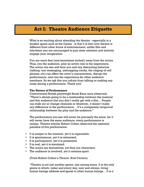### **Act I: Theatre Audience Etiquette**

What is so exciting about attending the theatre - especially in a smaller space such as the Gamm - is that it is live! Live theatre is different from other forms of entertainment; unlike film and television you are encouraged to pay close attention and actively engage your imagination.

You are mere feet (and sometimes inches!) away from the actors. Thus, you the audience, play an active role in the experience. The actors can see and hear you and any distracting behavior (talking, text messaging, unwrapping candy, the ringing of cell phones, etc) can affect the actor's concentration, disrupt the performance, and ruin the experience for other audience members. So we ask that you refrain from talking or making any noise during a performance. Thank you!

#### **The Nature of Performance**

Controversial British playwright Sarah Kane once observed: "There's always going to be a relationship between the material and that audience that you don't really get with a film… People can walk out or change channels or whatever, it doesn't make any difference to the performance… It's a completely reciprocal relationship between the play and the audience."

The performance you see will never be precisely the same, for it will never have the same audience; every performance is unique. Theatre scholar Robert Cohen observed the essential paradox of live performance:

- It is unique to the moment, yet it is repeatable.
- It is spontaneous, yet it is rehearsed.
- It is participatory, yet it is presented.
- It is real, yet it is simulated.
- The actors are themselves, yet they are characters.
- The audience is involved, yet it remains apart.

(From Robert Cohen's *Theatre: Brief Version*)

"Theatre is not just another genre, one among many. It is the only genre in which, today and every day, now and always, living human beings address and speak to other human beings… It is a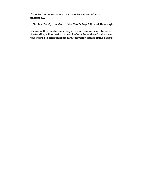place for human encounter, a space for authentic human existence…"

Vaclav Havel, president of the Czech Republic and Playwright

Discuss with your students the particular demands and benefits of attending a live performance. Perhaps have them brainstorm how theatre is different from film, television and sporting events.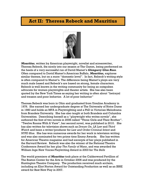## **Act II: Theresa Rebeck and Mauritius**



*Mauritius*, written by American playwright, novelist and screenwriter, Theresa Rebeck, fits nicely into our season at The Gamm, being performed on the heels of a very successful run of David Mamet's *Glengarry Glen Ross*. Often compared to David Mamet's American Buffalo, *Mauritius,* explores similar themes, but on a more "domestic level". In fact, Rebeck's writing style is often compared to Mamet's. The difference being Mamet's plays are very much male based and Rebeck's are based on strong, female characters. Rebeck is well known in the writing community for being an outspoken advocate for women playwrights and theater artists. She has also been quoted by the New York Times as saying her writing is often about "betrayal and treason and poor behavior. A lot of poor behavior"

Theresa Rebeck was born in Ohio and graduated from Ursuline Academy in 1976. She earned her undergraduate degree at The University of Notre Dame in 1980 and holds an MFA in Playwrighting and a PhD in Victorian Melodrama from Brandeis University. She has also taught at both Brandeis and Columbia Universities. Describing herself as a "playwright who writes novels", she authored the first of two novels in 2008 called "Three Girls and Their Brother". "Twelve Rooms With A View", her second novel, was published in 2010. She has also written for television shows such as *Dream On*, *LA Law* and *Third Watch* and been a writer/producer for *Law and Order:Criminal Intent* and *NYPD Blue*. She has won numerous awards for her work in television writing and was also nominated for two prime time Emmy Awards. She has written for American Theatre magazine and had excerpts of her plays published in the Harvard Review. Rebeck was also the winner of the National Theatre Conference Award for her play *The Family of Mann*, and was awarded the William Inge New Voices Playwriting Award in 2003 for *The Bells*

The world premiere of *Mauritius* took place at the Calderwood Pavillion of The Boston Center for the Arts in October 2006 and was produced by the Huntington Theatre Company. The production received much acclaim, including an Eliot Norton Award for Outstanding Production as well as an IRNE award for Best New Play in 2007.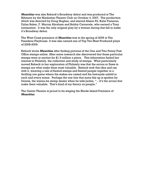*Mauritius* was also Rebeck's Broadway debut and was produced at The Biltmore by the Manhattan Theatre Club on October 4, 2007. The production which was directed by Doug Hughes, and starred Alison Pil, Katie Finneran, Dylan Baker, F. Murray Abraham and Bobby Carnavale, who earned a Tony nomination. It was the only original play by a woman during that fall to make it's Broadway debut.

The West Coast premiere of *Mauritius* was in the spring of 2009 at The Pasadena Playhouse. It was also named one of Top Ten Most Produced plays of 2008-2009.

Rebeck wrote *Mauritius* after finding pictures of the One and Two Penny Post Office stamps online. After some research she discovered that those particular stamps were at auction for \$1.5 million a piece. This information fueled her interest in Philately, the collection and study of stamps. What particularly moved Rebeck in her exploration of Philately was that the errors or flaws in stamps are what make them most valuable. Rebeck took this idea and ran with it, weaving a tale of flawed stamps and flawed people together in a thrilling con game where the stakes are raised and the betrayals unfold in each and every scene. Perhaps the one line that sums this up is spoken by Dennis, the wanna-be stamp dealer when he tells Jackie, "…It's the errors that make them valuable. That's kind of my theory on people."

The Gamm Theatre is proud to be staging the Rhode Island Premiere of *Mauritius*.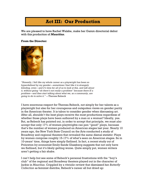# **Act III: Our Production**

We are pleased to have Rachel Walshe, make her Gamm directorial debut with this production of *Mauritius*.

#### **From the Director:**



*"Honestly, I felt like my whole career as a playwright has been so hyperdefined by my gender—sometimes I feel like it is strangely blinding, even—and it's time for all of us to look at this, and talk about it, without going "oh there's not really a problem" because there IS a problem—and then start talking about what we, as a community, are going to do to solve it." —*Theresa Rebeck

I have enormous respect for Theresa Rebeck, not simply for her talents as a playwright but also for her courageous and outspoken views on gender parity in the American theater. It is taboo to consider gender when discussing art. After all, shouldn't the best plays receive the most productions regardless of whether those plays have been authored by a man or a woman? Ideally, yes. But, as Rebeck has pointed out, in order to accept that principle, we must *also*  accept that only 17% of women playwrights can pen "good" plays, because that's the number of women produced on American stages last year. Nearly 10 years ago, the New York State Council on the Arts conducted a study of Broadway and regional theaters that revealed the same dismal statistic: Plays by women comprise roughly 15-17% of what's seen on American stages. So in 10-years' time, things have simply flatlined. In fact, a recent study out of Princeton by economist Emily Sands Glassberg suggests that not only have we flatlined, but it's likely getting worse. Quite simply put, women writers aren't getting a fair shake.

I can't help but see some of Rebeck's personal frustrations with the "boy's club" of the regional and Broadway theaters played out in the character of Jackie in *Mauritius*. Crippled by a vitriolic review that dismissed her *Butterfly Collection* as feminist diatribe*,* Rebeck's career all but dried up: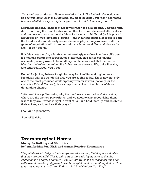*"I couldn't get produced…No one wanted to touch The Butterfly Collection and no one wanted to touch me. And then I fell off of the map. I got really depressed because of all this, as you might imagine, and I couldn't think anymore."*

Not unlike Rebeck, Jackie is at her lowest when the play begins. Crippled with debt, mourning the loss of a stricken mother for whom she cared utterly alone, and desperate to escape the shackles of a traumatic childhood, Jackie pins all her hopes on "two tiny slips of paper"—the Mauritius stamps. In order to earn the freedom she so intensely seeks, she must play a dangerous and cutthroat game of negotiation with three men who are far more skilled and vicious than she—or so it seems.

If Jackie starts the play a lamb who unknowingly wanders into the wolf's den, it's not long before she grows fangs of her own. In a series of stunning reversals, Jackie proves to be anything but the easy mark that the men of *Mauritius* make her out to be. She fights her way back to life, quite literally, and emerges…well, you'll see.

Not unlike Jackie, Rebeck fought her way back to life, making her way to Broadway with the wonderful play you are seeing today. She is now not only one of the most-produced contemporary women writers (not only for the stage but TV and film, too), but an important voice in the chorus of those demanding change:

"We need to stop discussing why the numbers are so bad, and stop asking where are the women playwrights, and we need to start recognizing them where they are—which is right in front of us—and hold them up and celebrate their voices, and produce their plays."

I couldn't agree more.

-Rachel Walshe

# **Dramaturgical Notes:**

**Money for Nothing and Mauritius by Jennifer Madden, Ph.D and Gamm Resident Dramaturge**

*The philatelist will tell you that stamps are educational, that they are valuable, that they are beautiful. This is only part of the truth. My notation is that the collection is a hedge, a comfort, a shelter into which the sorely beset mind can withdraw. It is orderly, it grows towards completion, it is something that can't be taken away from us.* —Clifton Fadiman in "Any Number Can Play"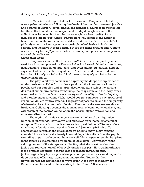#### *A thing worth having is a thing worth cheating for*. —W.C. Fields

In *Mauritius*, estranged half-sisters Jackie and Mary squabble bitterly over a paltry inheritance following the death of their mother: assorted jewelry and a stamp collection. Jackie, fragile and damaged, claims their mother left her the collection. Mary, the long-absent prodigal daughter claims the collection as her own. But the inheritance might not be so paltry, for it includes the famed "Post Office" stamps from the African island nation of Mauritius: two of the rarest in the world, considered the "crown jewels" of philately (stamp collecting) and staggeringly valuable due to both their scarcity and the flaws in their design. But are the stamps real or fake? And to whom do they belong? Jackie enlists an unsavory and potentially dangerous crew of philatelists to

#### assess their worth.

Dangerous stamp collectors, you ask? Rather than the quiet, genteel world we imagine, playwright Theresa Rebeck's form of philately breeds lies, manipulations, cutthroat double-cons, and even attempted murder. Rebeck says much of her work shares qualities of "betrayal and treason and poor behavior. A lot of poor behavior." And there's *plenty* of poor behavior on display in *Mauritius*.

The play is bitterly comic while exploring the deeper complexities of modern existence. Rebeck provides a peek into the 21st-century American psyche and her complex and compromised characters reflect the current desires of our culture: money for nothing, the easy scam, and the lucky break over hard work. In the face of easy money (and lots of it) do family, loyalty, and morality mean anything? What would compel someone to pay upwards of six million dollars for two stamps? The power of possession and the singularity of obsession lie at the heart of collecting. The stamps themselves are almost irrelevant. Collecting becomes the ultimate form of commodity fetishism, and ownership of the desired object offers the possibility for reinvention and ultimate self-actualization.

The mythic Mauritius stamps also signify the literal and figurative burden of inheritance. How do we pull ourselves from the muck of familial obligation? How much do our families and our past define us? Rebeck offers tantalizingly few details concerning Mary and Jackie's upbringing. Yet she provides us with *all* the information we need to know. Mary remains alienated from a family she barely knew while Jackie suffers from the psychic wounding of perhaps knowing them too well. Mary hopes to reclaim her place in the family by maintaining ownership of the stamps. Conversely, while ridding her self of the stamps and collecting what she considers her due, Jackie can reinvent herself, effectively erasing her past. Her real inheritance is the promise of rebirth, a tabula rasa secured in unmarked bills. Jackie begins the play in a powerless position, perceived as a weakling and a dupe because of her age, demeanor, and gender. Yet neither her powerlessness nor her gender conveys much in the way of morality, for Rebeck is uninterested in cheerleading for her "team." She writes: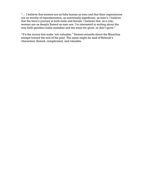"… I believe that women are as fully human as men and that their experiences are as worthy of representation, as universally significant, as men's. I believe that the hero's journey is both male and female. I believe that, as a rule, women are as deeply flawed as men are. I'm interested in writing about the way both genders make mistakes and the ways we grow, or don't grow."

"It's the errors that make 'em valuable," Dennis remarks about the Mauritius stamps toward the end of the play. The same might be said of Rebeck's characters: flawed, complicated, and valuable.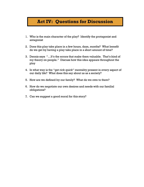# **Act IV: Questions for Discussion**

- 1. Who is the main character of the play? Identify the protagonist and antagonist
- 2. Does this play take place in a few hours, days, months? What benefit do we get by having a play take place in a short amount of time?
- 3. Dennis says "…It's the errors that make them valuable. That's kind of my theory on people." Discuss how this idea appears throughout the play
- 4. In what way is the "get rick quick" mentality present in every aspect of our daily life? What does this say about us as a society?
- 5. How are we defined by our family? What do we owe to them?
- 6. How do we negotiate our own desires and needs with our familial obligations?
- 7. Can we suggest a good moral for this story?